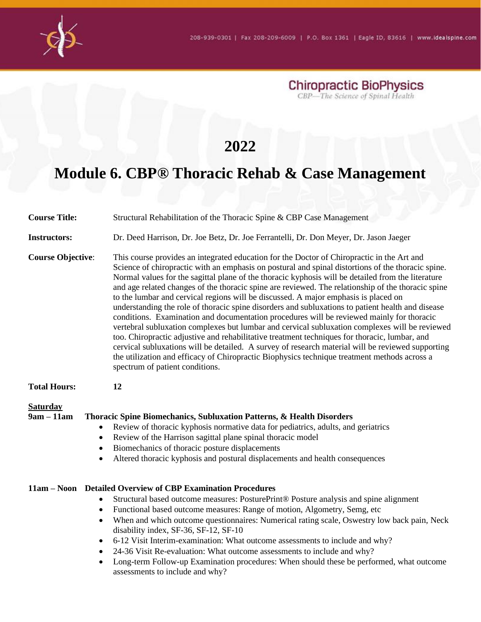

**Chiropractic BioPhysics**<br>CBP—The Science of Spinal Health

## **2022**

## **Module 6. CBP® Thoracic Rehab & Case Management**

| <b>Course Title:</b>                                                                                                       | Structural Rehabilitation of the Thoracic Spine & CBP Case Management                                                                                                                                                                                                                                                                                                                                                                                                                                                                                                                                                                                                                                                                                                                                                                                                                                                                                                                                                                                                                                                                            |
|----------------------------------------------------------------------------------------------------------------------------|--------------------------------------------------------------------------------------------------------------------------------------------------------------------------------------------------------------------------------------------------------------------------------------------------------------------------------------------------------------------------------------------------------------------------------------------------------------------------------------------------------------------------------------------------------------------------------------------------------------------------------------------------------------------------------------------------------------------------------------------------------------------------------------------------------------------------------------------------------------------------------------------------------------------------------------------------------------------------------------------------------------------------------------------------------------------------------------------------------------------------------------------------|
| <b>Instructors:</b>                                                                                                        | Dr. Deed Harrison, Dr. Joe Betz, Dr. Joe Ferrantelli, Dr. Don Meyer, Dr. Jason Jaeger                                                                                                                                                                                                                                                                                                                                                                                                                                                                                                                                                                                                                                                                                                                                                                                                                                                                                                                                                                                                                                                            |
| <b>Course Objective:</b>                                                                                                   | This course provides an integrated education for the Doctor of Chiropractic in the Art and<br>Science of chiropractic with an emphasis on postural and spinal distortions of the thoracic spine.<br>Normal values for the sagittal plane of the thoracic kyphosis will be detailed from the literature<br>and age related changes of the thoracic spine are reviewed. The relationship of the thoracic spine<br>to the lumbar and cervical regions will be discussed. A major emphasis is placed on<br>understanding the role of thoracic spine disorders and subluxations to patient health and disease<br>conditions. Examination and documentation procedures will be reviewed mainly for thoracic<br>vertebral subluxation complexes but lumbar and cervical subluxation complexes will be reviewed<br>too. Chiropractic adjustive and rehabilitative treatment techniques for thoracic, lumbar, and<br>cervical subluxations will be detailed. A survey of research material will be reviewed supporting<br>the utilization and efficacy of Chiropractic Biophysics technique treatment methods across a<br>spectrum of patient conditions. |
| <b>Total Hours:</b>                                                                                                        | 12                                                                                                                                                                                                                                                                                                                                                                                                                                                                                                                                                                                                                                                                                                                                                                                                                                                                                                                                                                                                                                                                                                                                               |
| <b>Saturday</b><br>$9am - 11am$<br>$\bullet$<br>$\bullet$<br>$\bullet$<br>$\bullet$<br>$\bullet$<br>$\bullet$<br>$\bullet$ | Thoracic Spine Biomechanics, Subluxation Patterns, & Health Disorders<br>Review of thoracic kyphosis normative data for pediatrics, adults, and geriatrics<br>Review of the Harrison sagittal plane spinal thoracic model<br>Biomechanics of thoracic posture displacements<br>Altered thoracic kyphosis and postural displacements and health consequences<br>11am - Noon Detailed Overview of CBP Examination Procedures<br>Structural based outcome measures: PosturePrint® Posture analysis and spine alignment<br>Functional based outcome measures: Range of motion, Algometry, Semg, etc<br>When and which outcome questionnaires: Numerical rating scale, Oswestry low back pain, Neck<br>disability index, SF-36, SF-12, SF-10                                                                                                                                                                                                                                                                                                                                                                                                          |
| $\bullet$<br>$\bullet$<br>$\bullet$                                                                                        | 6-12 Visit Interim-examination: What outcome assessments to include and why?<br>24-36 Visit Re-evaluation: What outcome assessments to include and why?<br>Long-term Follow-up Examination procedures: When should these be performed, what outcome<br>assessments to include and why?                                                                                                                                                                                                                                                                                                                                                                                                                                                                                                                                                                                                                                                                                                                                                                                                                                                           |